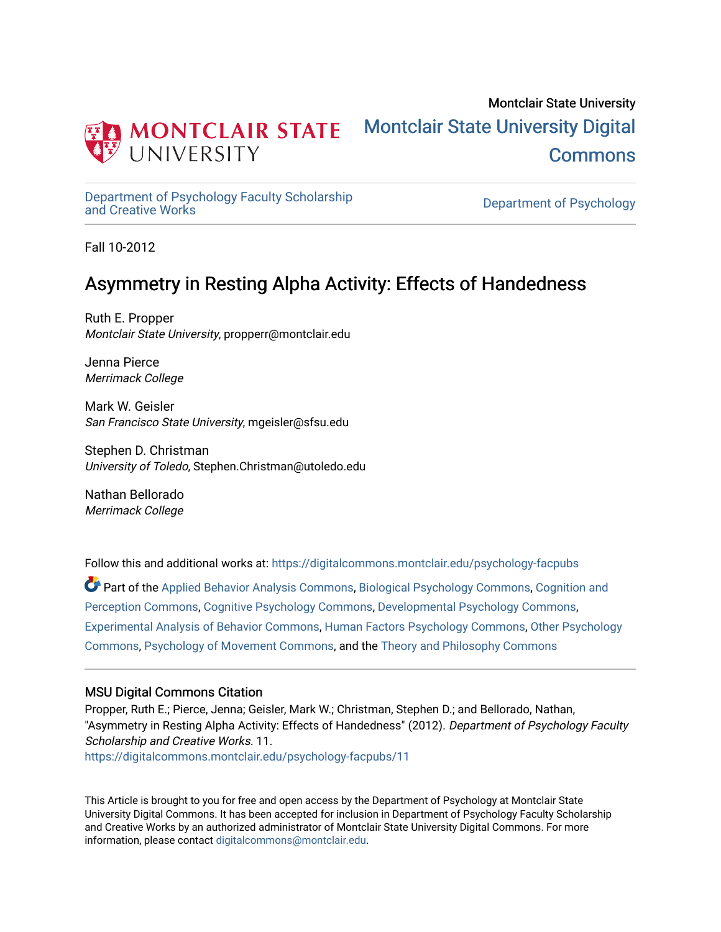

## Montclair State University [Montclair State University Digital](https://digitalcommons.montclair.edu/)  [Commons](https://digitalcommons.montclair.edu/)

[Department of Psychology Faculty Scholarship](https://digitalcommons.montclair.edu/psychology-facpubs) 

Department of Psychology

Fall 10-2012

## Asymmetry in Resting Alpha Activity: Effects of Handedness

Ruth E. Propper Montclair State University, propperr@montclair.edu

Jenna Pierce Merrimack College

Mark W. Geisler San Francisco State University, mgeisler@sfsu.edu

Stephen D. Christman University of Toledo, Stephen.Christman@utoledo.edu

Nathan Bellorado Merrimack College

Follow this and additional works at: [https://digitalcommons.montclair.edu/psychology-facpubs](https://digitalcommons.montclair.edu/psychology-facpubs?utm_source=digitalcommons.montclair.edu%2Fpsychology-facpubs%2F11&utm_medium=PDF&utm_campaign=PDFCoverPages) 

Part of the [Applied Behavior Analysis Commons](http://network.bepress.com/hgg/discipline/1235?utm_source=digitalcommons.montclair.edu%2Fpsychology-facpubs%2F11&utm_medium=PDF&utm_campaign=PDFCoverPages), [Biological Psychology Commons,](http://network.bepress.com/hgg/discipline/405?utm_source=digitalcommons.montclair.edu%2Fpsychology-facpubs%2F11&utm_medium=PDF&utm_campaign=PDFCoverPages) [Cognition and](http://network.bepress.com/hgg/discipline/407?utm_source=digitalcommons.montclair.edu%2Fpsychology-facpubs%2F11&utm_medium=PDF&utm_campaign=PDFCoverPages)  [Perception Commons](http://network.bepress.com/hgg/discipline/407?utm_source=digitalcommons.montclair.edu%2Fpsychology-facpubs%2F11&utm_medium=PDF&utm_campaign=PDFCoverPages), [Cognitive Psychology Commons,](http://network.bepress.com/hgg/discipline/408?utm_source=digitalcommons.montclair.edu%2Fpsychology-facpubs%2F11&utm_medium=PDF&utm_campaign=PDFCoverPages) [Developmental Psychology Commons](http://network.bepress.com/hgg/discipline/410?utm_source=digitalcommons.montclair.edu%2Fpsychology-facpubs%2F11&utm_medium=PDF&utm_campaign=PDFCoverPages), [Experimental Analysis of Behavior Commons](http://network.bepress.com/hgg/discipline/1236?utm_source=digitalcommons.montclair.edu%2Fpsychology-facpubs%2F11&utm_medium=PDF&utm_campaign=PDFCoverPages), [Human Factors Psychology Commons](http://network.bepress.com/hgg/discipline/1412?utm_source=digitalcommons.montclair.edu%2Fpsychology-facpubs%2F11&utm_medium=PDF&utm_campaign=PDFCoverPages), [Other Psychology](http://network.bepress.com/hgg/discipline/415?utm_source=digitalcommons.montclair.edu%2Fpsychology-facpubs%2F11&utm_medium=PDF&utm_campaign=PDFCoverPages)  [Commons](http://network.bepress.com/hgg/discipline/415?utm_source=digitalcommons.montclair.edu%2Fpsychology-facpubs%2F11&utm_medium=PDF&utm_campaign=PDFCoverPages), [Psychology of Movement Commons,](http://network.bepress.com/hgg/discipline/46?utm_source=digitalcommons.montclair.edu%2Fpsychology-facpubs%2F11&utm_medium=PDF&utm_campaign=PDFCoverPages) and the [Theory and Philosophy Commons](http://network.bepress.com/hgg/discipline/1238?utm_source=digitalcommons.montclair.edu%2Fpsychology-facpubs%2F11&utm_medium=PDF&utm_campaign=PDFCoverPages) 

## MSU Digital Commons Citation

Propper, Ruth E.; Pierce, Jenna; Geisler, Mark W.; Christman, Stephen D.; and Bellorado, Nathan, "Asymmetry in Resting Alpha Activity: Effects of Handedness" (2012). Department of Psychology Faculty Scholarship and Creative Works. 11. [https://digitalcommons.montclair.edu/psychology-facpubs/11](https://digitalcommons.montclair.edu/psychology-facpubs/11?utm_source=digitalcommons.montclair.edu%2Fpsychology-facpubs%2F11&utm_medium=PDF&utm_campaign=PDFCoverPages)

This Article is brought to you for free and open access by the Department of Psychology at Montclair State University Digital Commons. It has been accepted for inclusion in Department of Psychology Faculty Scholarship and Creative Works by an authorized administrator of Montclair State University Digital Commons. For more information, please contact [digitalcommons@montclair.edu](mailto:digitalcommons@montclair.edu).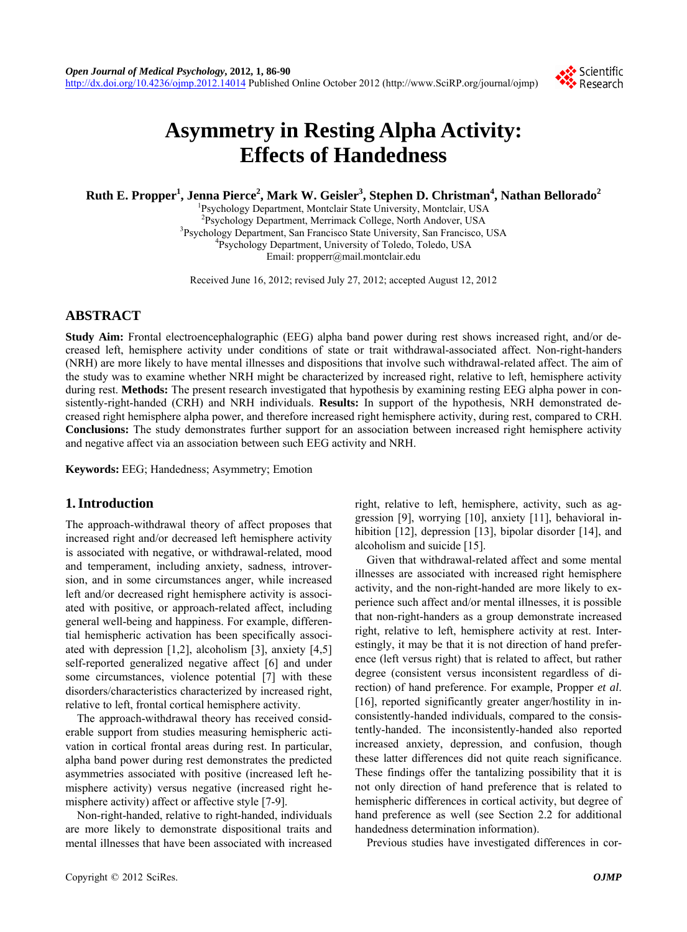

# **Asymmetry in Resting Alpha Activity: Effects of Handedness**

 $\bold{Ruth E. Propper}^{1},$  Jenna Pierce<sup>2</sup>, Mark W. Geisler $^{3}$ , Stephen D. Christman $^{4}$ , Nathan Bellorado $^{2}$ 

<sup>1</sup> Psychology Department, Montclair State University, Montclair, USA<br><sup>2</sup> Psychology Department, Morrimaak Collogo, North Andouar, USA <sup>2</sup>Psychology Department, Merrimack College, North Andover, USA <sup>3</sup>Psychology Department, San Francisco State University, San Francisco, USA <sup>4</sup>Psychology Department, University of Toledo, Toledo, USA Email: propperr@mail.montclair.edu

Received June 16, 2012; revised July 27, 2012; accepted August 12, 2012

## **ABSTRACT**

**Study Aim:** Frontal electroencephalographic (EEG) alpha band power during rest shows increased right, and/or decreased left, hemisphere activity under conditions of state or trait withdrawal-associated affect. Non-right-handers (NRH) are more likely to have mental illnesses and dispositions that involve such withdrawal-related affect. The aim of the study was to examine whether NRH might be characterized by increased right, relative to left, hemisphere activity during rest. **Methods:** The present research investigated that hypothesis by examining resting EEG alpha power in consistently-right-handed (CRH) and NRH individuals. **Results:** In support of the hypothesis, NRH demonstrated decreased right hemisphere alpha power, and therefore increased right hemisphere activity, during rest, compared to CRH. **Conclusions:** The study demonstrates further support for an association between increased right hemisphere activity and negative affect via an association between such EEG activity and NRH.

**Keywords:** EEG; Handedness; Asymmetry; Emotion

### **1. Introduction**

The approach-withdrawal theory of affect proposes that increased right and/or decreased left hemisphere activity is associated with negative, or withdrawal-related, mood and temperament, including anxiety, sadness, introversion, and in some circumstances anger, while increased left and/or decreased right hemisphere activity is associated with positive, or approach-related affect, including general well-being and happiness. For example, differential hemispheric activation has been specifically associated with depression [1,2], alcoholism [3], anxiety [4,5] self-reported generalized negative affect [6] and under some circumstances, violence potential [7] with these disorders/characteristics characterized by increased right, relative to left, frontal cortical hemisphere activity.

The approach-withdrawal theory has received considerable support from studies measuring hemispheric activation in cortical frontal areas during rest. In particular, alpha band power during rest demonstrates the predicted asymmetries associated with positive (increased left hemisphere activity) versus negative (increased right hemisphere activity) affect or affective style [7-9].

Non-right-handed, relative to right-handed, individuals are more likely to demonstrate dispositional traits and mental illnesses that have been associated with increased

right, relative to left, hemisphere, activity, such as aggression [9], worrying [10], anxiety [11], behavioral inhibition [12], depression [13], bipolar disorder [14], and alcoholism and suicide [15].

Given that withdrawal-related affect and some mental illnesses are associated with increased right hemisphere activity, and the non-right-handed are more likely to experience such affect and/or mental illnesses, it is possible that non-right-handers as a group demonstrate increased right, relative to left, hemisphere activity at rest. Interestingly, it may be that it is not direction of hand preference (left versus right) that is related to affect, but rather degree (consistent versus inconsistent regardless of direction) of hand preference. For example, Propper *et al*. [16], reported significantly greater anger/hostility in inconsistently-handed individuals, compared to the consistently-handed. The inconsistently-handed also reported increased anxiety, depression, and confusion, though these latter differences did not quite reach significance. These findings offer the tantalizing possibility that it is not only direction of hand preference that is related to hemispheric differences in cortical activity, but degree of hand preference as well (see Section 2.2 for additional handedness determination information).

Previous studies have investigated differences in cor-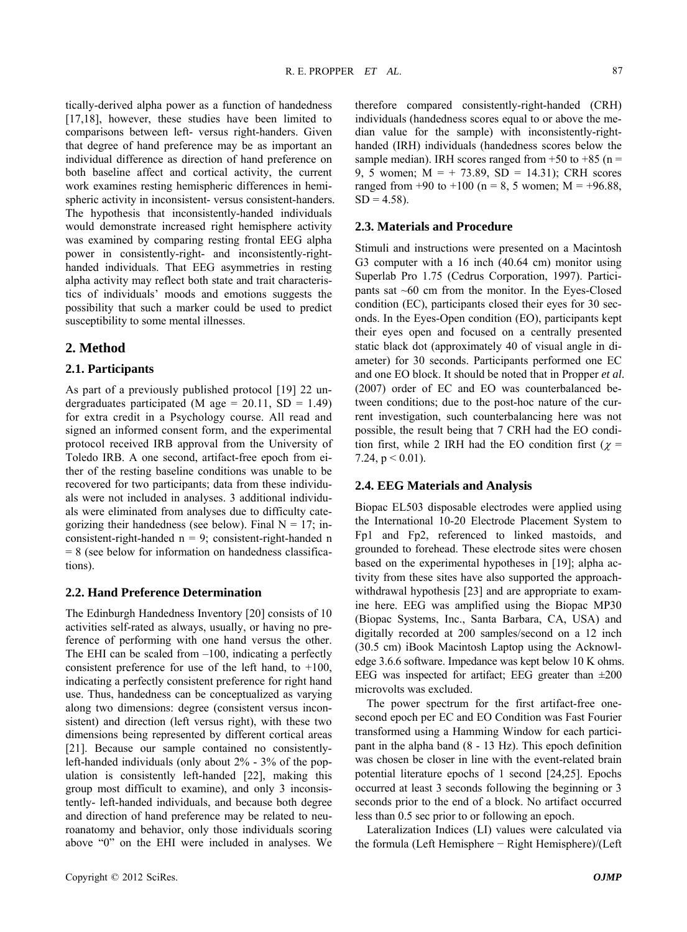tically-derived alpha power as a function of handedness [17,18], however, these studies have been limited to comparisons between left- versus right-handers. Given that degree of hand preference may be as important an individual difference as direction of hand preference on both baseline affect and cortical activity, the current work examines resting hemispheric differences in hemispheric activity in inconsistent- versus consistent-handers. The hypothesis that inconsistently-handed individuals would demonstrate increased right hemisphere activity was examined by comparing resting frontal EEG alpha power in consistently-right- and inconsistently-righthanded individuals. That EEG asymmetries in resting alpha activity may reflect both state and trait characteristics of individuals' moods and emotions suggests the possibility that such a marker could be used to predict susceptibility to some mental illnesses.

#### **2. Method**

#### **2.1. Participants**

As part of a previously published protocol [19] 22 undergraduates participated (M age =  $20.11$ , SD =  $1.49$ ) for extra credit in a Psychology course. All read and signed an informed consent form, and the experimental protocol received IRB approval from the University of Toledo IRB. A one second, artifact-free epoch from either of the resting baseline conditions was unable to be recovered for two participants; data from these individuals were not included in analyses. 3 additional individuals were eliminated from analyses due to difficulty categorizing their handedness (see below). Final  $N = 17$ ; inconsistent-right-handed  $n = 9$ ; consistent-right-handed n  $= 8$  (see below for information on handedness classifications).

#### **2.2. Hand Preference Determination**

The Edinburgh Handedness Inventory [20] consists of 10 activities self-rated as always, usually, or having no preference of performing with one hand versus the other. The EHI can be scaled from –100, indicating a perfectly consistent preference for use of the left hand, to  $+100$ , indicating a perfectly consistent preference for right hand use. Thus, handedness can be conceptualized as varying along two dimensions: degree (consistent versus inconsistent) and direction (left versus right), with these two dimensions being represented by different cortical areas [21]. Because our sample contained no consistentlyleft-handed individuals (only about 2% - 3% of the population is consistently left-handed [22], making this group most difficult to examine), and only 3 inconsistently- left-handed individuals, and because both degree and direction of hand preference may be related to neuroanatomy and behavior, only those individuals scoring above "0" on the EHI were included in analyses. We therefore compared consistently-right-handed (CRH) individuals (handedness scores equal to or above the median value for the sample) with inconsistently-righthanded (IRH) individuals (handedness scores below the sample median). IRH scores ranged from  $+50$  to  $+85$  (n = 9, 5 women;  $M = +73.89$ ,  $SD = 14.31$ ; CRH scores ranged from +90 to +100 (n = 8, 5 women;  $M = +96.88$ ,  $SD = 4.58$ ).

#### **2.3. Materials and Procedure**

Stimuli and instructions were presented on a Macintosh G3 computer with a 16 inch (40.64 cm) monitor using Superlab Pro 1.75 (Cedrus Corporation, 1997). Participants sat  $~60$  cm from the monitor. In the Eyes-Closed condition (EC), participants closed their eyes for 30 seconds. In the Eyes-Open condition (EO), participants kept their eyes open and focused on a centrally presented static black dot (approximately 40 of visual angle in diameter) for 30 seconds. Participants performed one EC and one EO block. It should be noted that in Propper *et al*. (2007) order of EC and EO was counterbalanced between conditions; due to the post-hoc nature of the current investigation, such counterbalancing here was not possible, the result being that 7 CRH had the EO condition first, while 2 IRH had the EO condition first ( $\chi$  = 7.24,  $p < 0.01$ ).

#### **2.4. EEG Materials and Analysis**

Biopac EL503 disposable electrodes were applied using the International 10-20 Electrode Placement System to Fp1 and Fp2, referenced to linked mastoids, and grounded to forehead. These electrode sites were chosen based on the experimental hypotheses in [19]; alpha activity from these sites have also supported the approachwithdrawal hypothesis [23] and are appropriate to examine here. EEG was amplified using the Biopac MP30 (Biopac Systems, Inc., Santa Barbara, CA, USA) and digitally recorded at 200 samples/second on a 12 inch (30.5 cm) iBook Macintosh Laptop using the Acknowledge 3.6.6 software. Impedance was kept below 10 K ohms. EEG was inspected for artifact; EEG greater than  $\pm 200$ microvolts was excluded.

The power spectrum for the first artifact-free onesecond epoch per EC and EO Condition was Fast Fourier transformed using a Hamming Window for each participant in the alpha band (8 - 13 Hz). This epoch definition was chosen be closer in line with the event-related brain potential literature epochs of 1 second [24,25]. Epochs occurred at least 3 seconds following the beginning or 3 seconds prior to the end of a block. No artifact occurred less than 0.5 sec prior to or following an epoch.

Lateralization Indices (LI) values were calculated via the formula (Left Hemisphere − Right Hemisphere)/(Left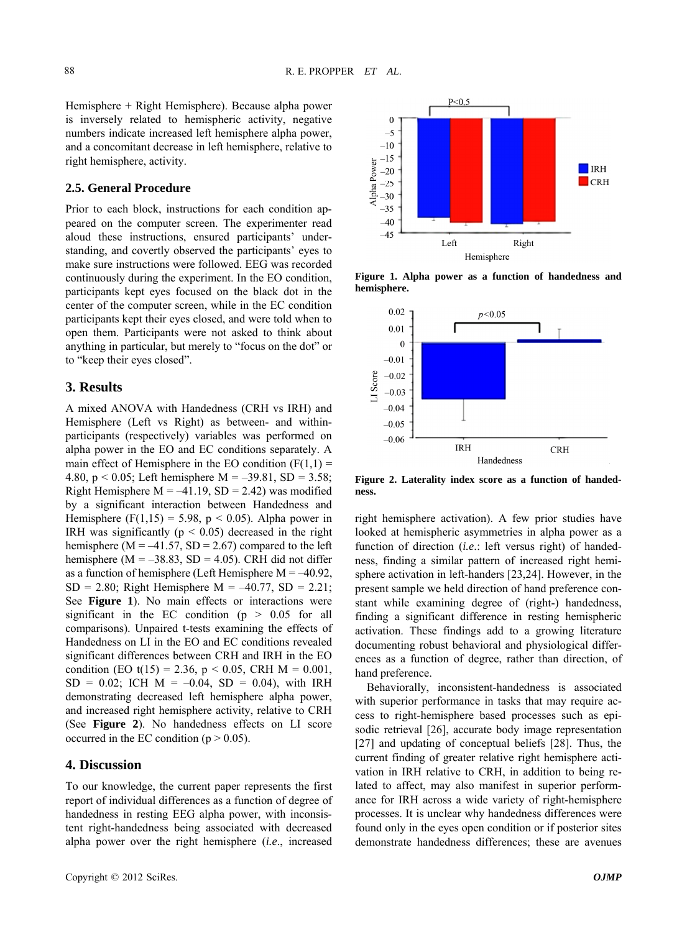Hemisphere + Right Hemisphere). Because alpha power is inversely related to hemispheric activity, negative numbers indicate increased left hemisphere alpha power, and a concomitant decrease in left hemisphere, relative to right hemisphere, activity.

#### **2.5. General Procedure**

Prior to each block, instructions for each condition appeared on the computer screen. The experimenter read aloud these instructions, ensured participants' understanding, and covertly observed the participants' eyes to make sure instructions were followed. EEG was recorded continuously during the experiment. In the EO condition, participants kept eyes focused on the black dot in the center of the computer screen, while in the EC condition participants kept their eyes closed, and were told when to open them. Participants were not asked to think about anything in particular, but merely to "focus on the dot" or to "keep their eyes closed".

### **3. Results**

A mixed ANOVA with Handedness (CRH vs IRH) and Hemisphere (Left vs Right) as between- and withinparticipants (respectively) variables was performed on alpha power in the EO and EC conditions separately. A main effect of Hemisphere in the EO condition  $(F(1,1))$  = 4.80,  $p < 0.05$ ; Left hemisphere M = -39.81, SD = 3.58; Right Hemisphere  $M = -41.19$ ,  $SD = 2.42$ ) was modified by a significant interaction between Handedness and Hemisphere (F(1,15) = 5.98,  $p < 0.05$ ). Alpha power in IRH was significantly ( $p < 0.05$ ) decreased in the right hemisphere ( $M = -41.57$ ,  $SD = 2.67$ ) compared to the left hemisphere ( $M = -38.83$ ,  $SD = 4.05$ ). CRH did not differ as a function of hemisphere (Left Hemisphere  $M = -40.92$ ,  $SD = 2.80$ ; Right Hemisphere  $M = -40.77$ ,  $SD = 2.21$ ; See **Figure 1**). No main effects or interactions were significant in the EC condition ( $p > 0.05$  for all comparisons). Unpaired t-tests examining the effects of Handedness on LI in the EO and EC conditions revealed significant differences between CRH and IRH in the EO condition (EO t(15) = 2.36,  $p < 0.05$ , CRH M = 0.001,  $SD = 0.02$ ; ICH  $M = -0.04$ ,  $SD = 0.04$ ), with IRH demonstrating decreased left hemisphere alpha power, and increased right hemisphere activity, relative to CRH (See **Figure 2**). No handedness effects on LI score occurred in the EC condition ( $p > 0.05$ ).

#### **4. Discussion**

To our knowledge, the current paper represents the first report of individual differences as a function of degree of handedness in resting EEG alpha power, with inconsistent right-handedness being associated with decreased alpha power over the right hemisphere (*i.e*., increased



**Figure 1. Alpha power as a function of handedness and hemisphere.**



**Figure 2. Laterality index score as a function of handedness.** 

right hemisphere activation). A few prior studies have looked at hemispheric asymmetries in alpha power as a function of direction *(i.e.*: left versus right) of handedness, finding a similar pattern of increased right hemisphere activation in left-handers [23,24]. However, in the present sample we held direction of hand preference constant while examining degree of (right-) handedness, finding a significant difference in resting hemispheric activation. These findings add to a growing literature documenting robust behavioral and physiological differences as a function of degree, rather than direction, of hand preference.

Behaviorally, inconsistent-handedness is associated with superior performance in tasks that may require access to right-hemisphere based processes such as episodic retrieval [26], accurate body image representation [27] and updating of conceptual beliefs [28]. Thus, the current finding of greater relative right hemisphere activation in IRH relative to CRH, in addition to being related to affect, may also manifest in superior performance for IRH across a wide variety of right-hemisphere processes. It is unclear why handedness differences were found only in the eyes open condition or if posterior sites demonstrate handedness differences; these are avenues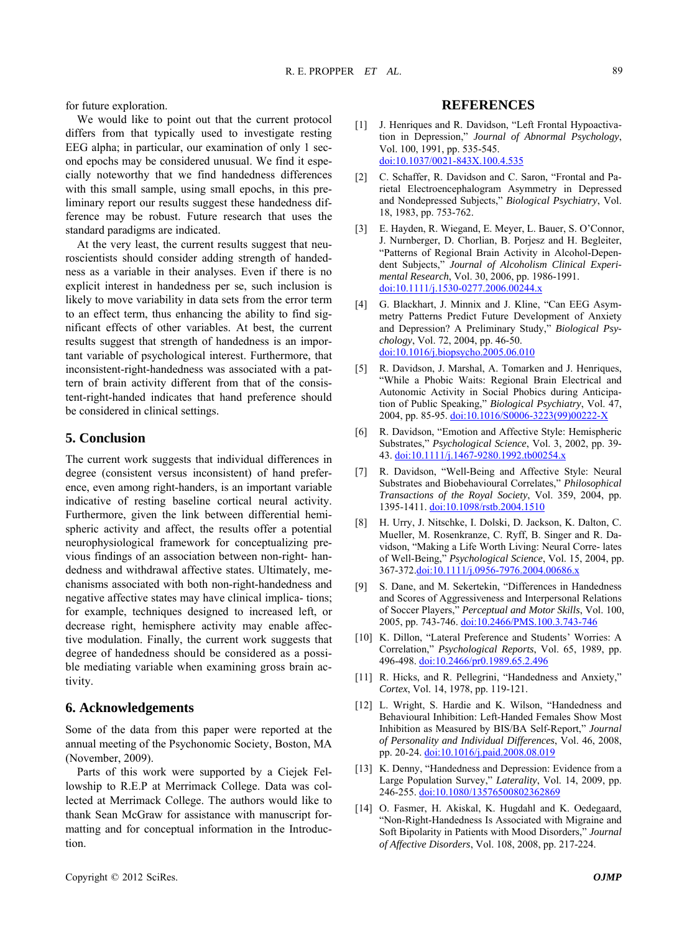for future exploration.

We would like to point out that the current protocol di ffers from that typically used to investigate resting EEG alpha; in particular, our examination of only 1 second epochs may be considered unusual. We find it especially noteworthy that we find handedness differences with this small sample, using small epochs, in this preliminary report our results suggest these handedness difference may be robust. Future research that uses the standard paradigms are indicated.

At the very least, the current results suggest that neuro scientists should consider adding strength of handedness as a variable in their analyses. Even if there is no explicit interest in handedness per se, such inclusion is likely to move variability in data sets from the error term to an effect term, thus enhancing the ability to find significant effects of other variables. At best, the current results suggest that strength of handedness is an important variable of psychological interest. Furthermore, that inconsistent-right-handedness was associated with a pattern of brain activity different from that of the consistent-right-handed indicates that hand preference should be considered in clinical settings.

#### **5. Conclusion**

The current work suggests that individual differences in degree (consistent versus inconsistent) of hand preference, even among right-handers, is an important variable indicative of resting baseline cortical neural activity. Furthermore, given the link between differential hemispheric activity and affect, the results offer a potential neurophysiological framework for conceptualizing previous findings of an association between non-right- handedness and withdrawal affective states. Ultimately, mechanisms associated with both non-right-handedness and negative affective states may have clinical implica- tions; for example, techniques designed to increased left, or decrease right, hemisphere activity may enable affective modulation. Finally, the current work suggests that degree of handedness should be considered as a possible mediating variable when examining gross brain activity.

#### **6. Acknowledgements**

Some of the data from this paper were reported at the annual meeting of the Psychonomic Society, Boston, MA (November, 2009).

Parts of this work were supported by a Ciejek Fello wship to R.E.P at Merrimack College. Data was collected at Merrimack College. The authors would like to thank Sean McGraw for assistance with manuscript formatting and for conceptual information in the Introduction.

#### **REFERENCES**

- [1] J. Henriques and R. Davidson, "Left Frontal Hypoactivation in Depression," *Journal of Abnormal Psychology*, Vol. 100, 1991 , pp. 535-545. [doi:10.1037/](http://dx.doi.org/10.1037/0021-843X.100.4.535)0021-843X.100.4.535
- [2] C. Schaffer, R. Davidson and C. Saron, "Frontal and Parietal Electroencephalogram Asym metry in Depressed and Nondepressed Subjects," *Biolo gical Psychiatry*, Vol. 18, 1983, pp. 753-762.
- "Patterns of Regional Brain Activity in Alcohol-Depen-[3] E. Hayden, R. Wiegand, E. Meyer, L. Bauer, S. O'Connor, J. Nurnberger, D. Chorlian, B. Porjesz and H. Begleiter, dent Subjects," *Journal of Alcoholism Clinical Experimental Research*, Vol. 30, 2006, pp. 1986-1991. [doi:10.1111/j.1530-0277.2006.00244.x](http://dx.doi.org/10.1111/j.1530-0277.2006.00244.x)
- [4] [G. Blackhart, J. Minnix and J. Kline, "Can EEG Asym](http://dx.doi.org/10.1111/j.1530-0277.2006.00244.x)[metry Patterns Predict Future Development of A](http://dx.doi.org/10.1111/j.1530-0277.2006.00244.x) nxiety [and Depression? A Preliminary Study,"](http://dx.doi.org/10.1111/j.1530-0277.2006.00244.x)  *Biological Psychology*, Vol. 72, 2004, pp. 46-50. [doi:10.1016/j.biopsycho.2005.06.010](http://dx.doi.org/10.1016/j.biopsycho.2005.06.010)
- [5] [R. Davidson, J. Marshal, A. Tomarken and J. Henriques,](http://dx.doi.org/10.1016/j.biopsycho.2005.06.010)  ["While a Phobic Waits: Regional B](http://dx.doi.org/10.1016/j.biopsycho.2005.06.010) rain Electrical and [Autonomic Activity in Social Phobic](http://dx.doi.org/10.1016/j.biopsycho.2005.06.010) s during Anticipation of Public Speaking," *Biological Psychiatry*, Vol. 47, 2004, pp. 85-95. [doi:10.1016/S0006-3223\(99\)00222-X](http://dx.doi.org/10.1016/S0006-3223(99)00222-X)
- [6] [R. Davidson, "Emotion and Affective Style: Hemispheric](http://dx.doi.org/10.1016/S0006-3223(99)00222-X)  Substrates," *Psychological Science*[, Vol. 3, 2002, pp. 39-](http://dx.doi.org/10.1016/S0006-3223(99)00222-X)  [43.](http://dx.doi.org/10.1016/S0006-3223(99)00222-X) doi:10.1111/j.1467-9280.1992.tb00254.x
- [7] R. Davidson, "Well-Being and Affective Style: Neural Substrates and Biobehavioural Correlates," *Philosophical Transactions of the Royal Society*, Vol. 359, 2004, pp. 1395-1411. [doi:10.1098/rstb.2004.1510](http://dx.doi.org/10.1098/rstb.2004.1510)
- [8] [H. Urry, J. Nitschke, I. Dolski, D. Jackson, K. Dalton, C.](http://dx.doi.org/10.1098/rstb.2004.1510)  [Mueller, M. Rosenkranze, C. Ryff, B. Singer and R. Da](http://dx.doi.org/10.1098/rstb.2004.1510)[vidson, "Making a Life Worth Living: N](http://dx.doi.org/10.1098/rstb.2004.1510)eural Corre- lates of Well-Being," *Psychological Science*, Vol. 15, 2004, pp. 367-372.[doi:10.1111/j.0956-7976.2004.00686.x](http://dx.doi.org/10.1111/j.0956-7976.2004.00686.x)
- [9] [S. Dane, and M. Sekertekin, "Differences in Handedness](http://dx.doi.org/10.1111/j.0956-7976.2004.00686.x)  [and Scores of Aggressiveness and Interpersonal Relations](http://dx.doi.org/10.1111/j.0956-7976.2004.00686.x)  of Soccer Players," *[Perceptual and Motor Skills](http://dx.doi.org/10.1111/j.0956-7976.2004.00686.x)*, Vol. 100, 2005, pp. 743-746. [doi:10.2466/PMS.100.3.743-746](http://dx.doi.org/10.2466/PMS.100.3.743-746)
- [10] K. Dillon, "Lateral Preference and Students' Worries: A Correlation," *[Psychological Reports](http://dx.doi.org/10.2466/PMS.100.3.743-746)*, Vol. 65, 1989, pp. [496-498.](http://dx.doi.org/10.2466/PMS.100.3.743-746) doi:10.2466/pr0.1989.65.2.496
- [11] R. Hicks, and R. Pellegrini, "Handedness and Anxiety," *Cortex*, Vol. 14, 1978, pp. 119-121.
- [12] L. Wright, S. Hardie and K. Wilson, "Handedness and Behavioural Inhibition: Left-Handed Females Show Most Inhibition as Measured by BIS/BA Self-Report," *Journal of Personality and Individual Differences*, Vol. 46, 2008, pp. 20-24. [doi:10.1016/j.paid.2008.08.019](http://dx.doi.org/10.1016/j.paid.2008.08.019)
- [13] K. Denny, "Handedness and Depression: Evidence from a [Large Population Survey,"](http://dx.doi.org/10.1016/j.paid.2008.08.019) *Laterality*, Vol. 14, 2009, pp. [246-255.](http://dx.doi.org/10.1016/j.paid.2008.08.019) doi:10.1080/13576500802362869
- Soft Bipolarity in Patients with Mood Disorders," Journal [14] O. Fasmer, H. Akiskal, K. Hugdahl and K. Oedegaard, "Non-Right-Handedness Is Associated with Migraine and *of Affective Disorders*, Vol. 108, 2008, pp. 217-224.